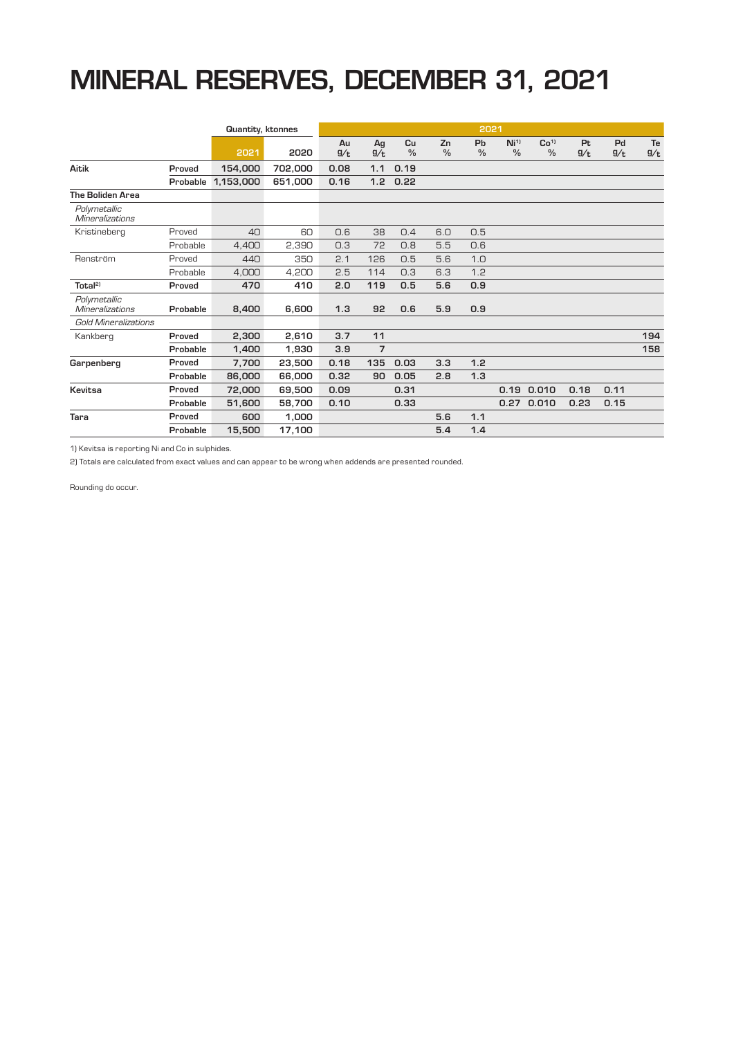## MINERAL RESERVES, DECEMBER 31, 2021

|                                        |          | Quantity, ktonnes | 2021    |           |           |                     |                     |                     |                                   |                                  |                       |           |           |
|----------------------------------------|----------|-------------------|---------|-----------|-----------|---------------------|---------------------|---------------------|-----------------------------------|----------------------------------|-----------------------|-----------|-----------|
|                                        |          | 2021              | 2020    | Au<br>9/t | Ag<br>9/t | Cu<br>$\frac{0}{0}$ | Zn<br>$\frac{0}{0}$ | Pb<br>$\frac{0}{0}$ | Ni <sup>11</sup><br>$\frac{1}{2}$ | Co <sup>1</sup><br>$\frac{0}{0}$ | P <sub>t</sub><br>9/t | Pd<br>9/t | Te<br>9/t |
| Aitik                                  | Proved   | 154,000           | 702,000 | 0.08      | 1.1       | 0.19                |                     |                     |                                   |                                  |                       |           |           |
|                                        | Probable | 1,153,000         | 651,000 | 0.16      | 1.2       | 0.22                |                     |                     |                                   |                                  |                       |           |           |
| <b>The Boliden Area</b>                |          |                   |         |           |           |                     |                     |                     |                                   |                                  |                       |           |           |
| Polymetallic<br><b>Mineralizations</b> |          |                   |         |           |           |                     |                     |                     |                                   |                                  |                       |           |           |
| Kristineberg                           | Proved   | 40                | 60      | O.6       | 38        | O.4                 | 6.0                 | 0.5                 |                                   |                                  |                       |           |           |
|                                        | Probable | 4,400             | 2,390   | 0.3       | 72        | O.8                 | 5.5                 | O.6                 |                                   |                                  |                       |           |           |
| Renström                               | Proved   | 440               | 350     | 2.1       | 126       | 0.5                 | 5.6                 | 1.0                 |                                   |                                  |                       |           |           |
|                                        | Probable | 4,000             | 4,200   | 2.5       | 114       | O.3                 | 6.3                 | 1.2                 |                                   |                                  |                       |           |           |
| Total <sup>2)</sup>                    | Proved   | 470               | 410     | 2.0       | 119       | 0.5                 | 5.6                 | 0.9                 |                                   |                                  |                       |           |           |
| Polymetallic<br><b>Mineralizations</b> | Probable | 8,400             | 6,600   | 1.3       | 92        | 0.6                 | 5.9                 | 0.9                 |                                   |                                  |                       |           |           |
| <b>Gold Mineralizations</b>            |          |                   |         |           |           |                     |                     |                     |                                   |                                  |                       |           |           |
| Kankberg                               | Proved   | 2,300             | 2,610   | 3.7       | 11        |                     |                     |                     |                                   |                                  |                       |           | 194       |
|                                        | Probable | 1.400             | 1.930   | 3.9       | 7         |                     |                     |                     |                                   |                                  |                       |           | 158       |
| Garpenberg                             | Proved   | 7,700             | 23,500  | 0.18      | 135       | 0.03                | 3.3                 | 1.2                 |                                   |                                  |                       |           |           |
|                                        | Probable | 86,000            | 66,000  | 0.32      | 90        | 0.05                | 2.8                 | 1.3                 |                                   |                                  |                       |           |           |
| Kevitsa                                | Proved   | 72,000            | 69,500  | 0.09      |           | 0.31                |                     |                     | 0.19                              | 0.010                            | 0.18                  | 0.11      |           |
|                                        | Probable | 51,600            | 58,700  | 0.10      |           | 0.33                |                     |                     |                                   | 0.27 0.010                       | 0.23                  | 0.15      |           |
| Tara                                   | Proved   | 600               | 1,000   |           |           |                     | 5.6                 | 1.1                 |                                   |                                  |                       |           |           |
|                                        | Probable | 15,500            | 17,100  |           |           |                     | 5.4                 | 1.4                 |                                   |                                  |                       |           |           |

1) Kevitsa is reporting Ni and Co in sulphides.

2) Totals are calculated from exact values and can appear to be wrong when addends are presented rounded.

Rounding do occur.